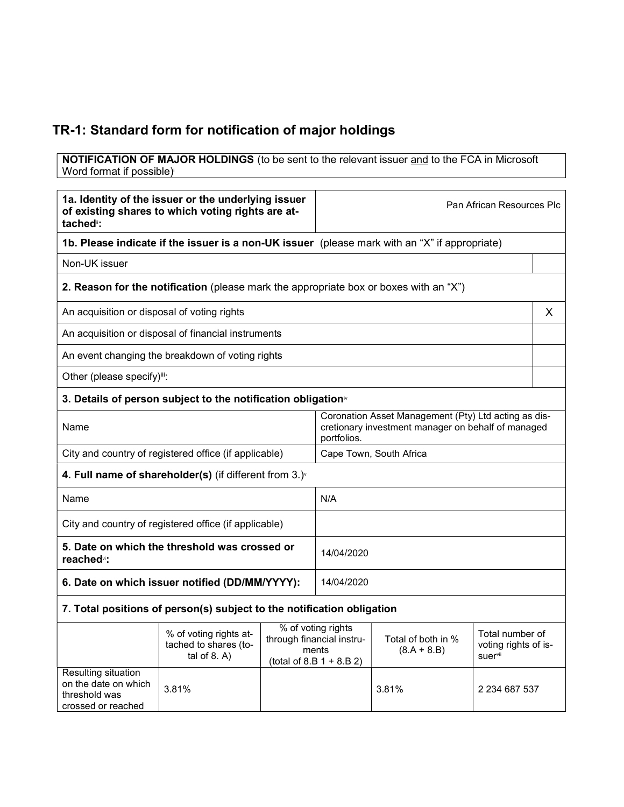## TR-1: Standard form for notification of major holdings

**NOTIFICATION OF MAJOR HOLDINGS** (to be sent to the relevant issuer and to the FCA in Microsoft Word format if possible)

| 1a. Identity of the issuer or the underlying issuer<br>of existing shares to which voting rights are at-<br>tached <sup>®</sup> : |                                                                                               |  | Pan African Resources Plc                                                                                                 |                                     |                                                    |
|-----------------------------------------------------------------------------------------------------------------------------------|-----------------------------------------------------------------------------------------------|--|---------------------------------------------------------------------------------------------------------------------------|-------------------------------------|----------------------------------------------------|
|                                                                                                                                   | 1b. Please indicate if the issuer is a non-UK issuer (please mark with an "X" if appropriate) |  |                                                                                                                           |                                     |                                                    |
| Non-UK issuer                                                                                                                     |                                                                                               |  |                                                                                                                           |                                     |                                                    |
|                                                                                                                                   | 2. Reason for the notification (please mark the appropriate box or boxes with an "X")         |  |                                                                                                                           |                                     |                                                    |
| An acquisition or disposal of voting rights                                                                                       |                                                                                               |  |                                                                                                                           |                                     | X                                                  |
|                                                                                                                                   | An acquisition or disposal of financial instruments                                           |  |                                                                                                                           |                                     |                                                    |
|                                                                                                                                   | An event changing the breakdown of voting rights                                              |  |                                                                                                                           |                                     |                                                    |
| Other (please specify)iii:                                                                                                        |                                                                                               |  |                                                                                                                           |                                     |                                                    |
|                                                                                                                                   | 3. Details of person subject to the notification obligation <sup>®</sup>                      |  |                                                                                                                           |                                     |                                                    |
| Name                                                                                                                              |                                                                                               |  | Coronation Asset Management (Pty) Ltd acting as dis-<br>cretionary investment manager on behalf of managed<br>portfolios. |                                     |                                                    |
| City and country of registered office (if applicable)                                                                             |                                                                                               |  | Cape Town, South Africa                                                                                                   |                                     |                                                    |
| 4. Full name of shareholder(s) (if different from 3.)                                                                             |                                                                                               |  |                                                                                                                           |                                     |                                                    |
| Name                                                                                                                              |                                                                                               |  | N/A                                                                                                                       |                                     |                                                    |
| City and country of registered office (if applicable)                                                                             |                                                                                               |  |                                                                                                                           |                                     |                                                    |
| 5. Date on which the threshold was crossed or<br>reached <sup>vi</sup> :                                                          |                                                                                               |  | 14/04/2020                                                                                                                |                                     |                                                    |
| 6. Date on which issuer notified (DD/MM/YYYY):                                                                                    |                                                                                               |  | 14/04/2020                                                                                                                |                                     |                                                    |
| 7. Total positions of person(s) subject to the notification obligation                                                            |                                                                                               |  |                                                                                                                           |                                     |                                                    |
|                                                                                                                                   | % of voting rights at-<br>tached to shares (to-<br>tal of $8. A$ )                            |  | % of voting rights<br>through financial instru-<br>ments<br>(total of 8.B $1 + 8.B 2$ )                                   | Total of both in %<br>$(8.A + 8.B)$ | Total number of<br>voting rights of is-<br>suervii |
| Resulting situation<br>on the date on which<br>threshold was<br>crossed or reached                                                | 3.81%                                                                                         |  |                                                                                                                           | 3.81%                               | 2 234 687 537                                      |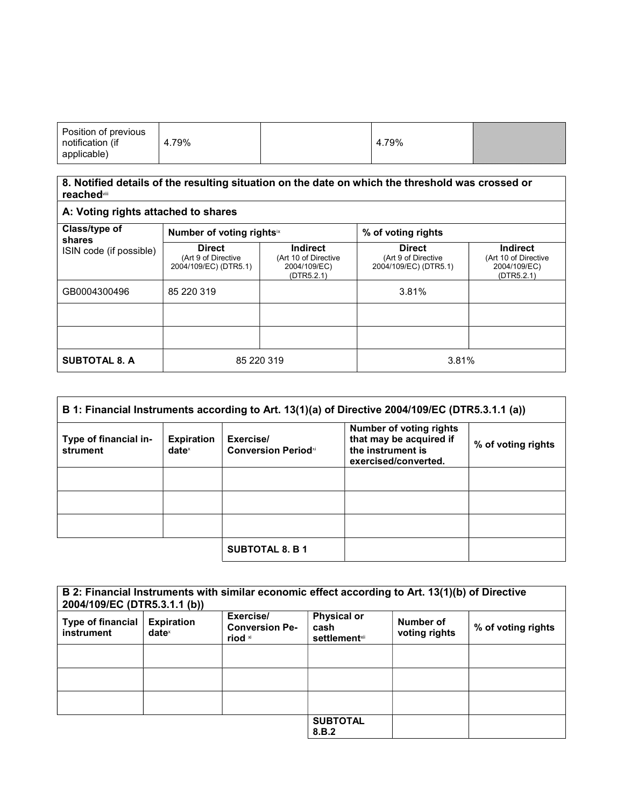| Position of previous<br>notification (if<br>applicable) | 4.79% |  | 4.79% |  |
|---------------------------------------------------------|-------|--|-------|--|
|---------------------------------------------------------|-------|--|-------|--|

## 8. Notified details of the resulting situation on the date on which the threshold was crossed or reachedviii

| A: Voting rights attached to shares                |                                                               |                                                                       |                                                               |                                                                       |
|----------------------------------------------------|---------------------------------------------------------------|-----------------------------------------------------------------------|---------------------------------------------------------------|-----------------------------------------------------------------------|
| Class/type of<br>shares<br>ISIN code (if possible) | Number of voting rightsix                                     |                                                                       | % of voting rights                                            |                                                                       |
|                                                    | <b>Direct</b><br>(Art 9 of Directive<br>2004/109/EC) (DTR5.1) | <b>Indirect</b><br>(Art 10 of Directive<br>2004/109/EC)<br>(DTR5.2.1) | <b>Direct</b><br>(Art 9 of Directive<br>2004/109/EC) (DTR5.1) | <b>Indirect</b><br>(Art 10 of Directive<br>2004/109/EC)<br>(DTR5.2.1) |
| GB0004300496                                       | 85 220 319                                                    |                                                                       | 3.81%                                                         |                                                                       |
|                                                    |                                                               |                                                                       |                                                               |                                                                       |
|                                                    |                                                               |                                                                       |                                                               |                                                                       |
| <b>SUBTOTAL 8. A</b>                               | 85 220 319                                                    |                                                                       | 3.81%                                                         |                                                                       |

| B 1: Financial Instruments according to Art. 13(1)(a) of Directive 2004/109/EC (DTR5.3.1.1 (a)) |                                        |                                         |                                                                                                        |                    |
|-------------------------------------------------------------------------------------------------|----------------------------------------|-----------------------------------------|--------------------------------------------------------------------------------------------------------|--------------------|
| Type of financial in-<br>strument                                                               | <b>Expiration</b><br>date <sup>x</sup> | Exercise/<br><b>Conversion Periodxi</b> | <b>Number of voting rights</b><br>that may be acquired if<br>the instrument is<br>exercised/converted. | % of voting rights |
|                                                                                                 |                                        |                                         |                                                                                                        |                    |
|                                                                                                 |                                        |                                         |                                                                                                        |                    |
|                                                                                                 |                                        |                                         |                                                                                                        |                    |
|                                                                                                 |                                        | <b>SUBTOTAL 8. B 1</b>                  |                                                                                                        |                    |

| B 2: Financial Instruments with similar economic effect according to Art. 13(1)(b) of Directive<br>2004/109/EC (DTR5.3.1.1 (b)) |                                      |                                               |                                                     |                            |                    |
|---------------------------------------------------------------------------------------------------------------------------------|--------------------------------------|-----------------------------------------------|-----------------------------------------------------|----------------------------|--------------------|
| Type of financial<br>instrument                                                                                                 | <b>Expiration</b><br>$date^{\times}$ | Exercise/<br><b>Conversion Pe-</b><br>riod xi | <b>Physical or</b><br>cash<br><b>settlement</b> xii | Number of<br>voting rights | % of voting rights |
|                                                                                                                                 |                                      |                                               |                                                     |                            |                    |
|                                                                                                                                 |                                      |                                               |                                                     |                            |                    |
|                                                                                                                                 |                                      |                                               |                                                     |                            |                    |
|                                                                                                                                 |                                      |                                               | <b>SUBTOTAL</b><br>8.B.2                            |                            |                    |